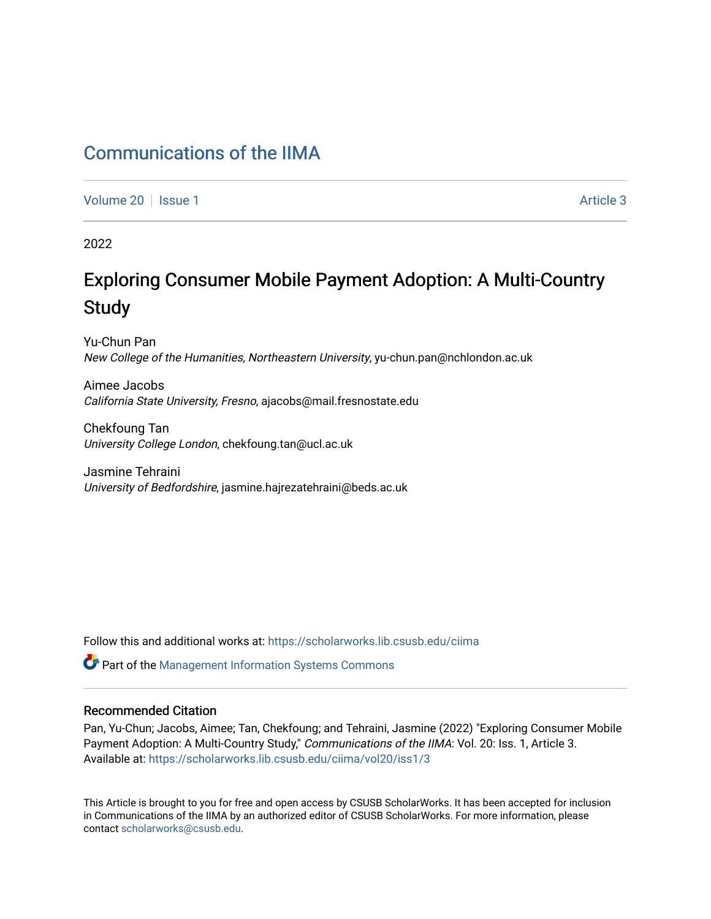## [Communications of the IIMA](https://scholarworks.lib.csusb.edu/ciima)

[Volume 20](https://scholarworks.lib.csusb.edu/ciima/vol20) | [Issue 1](https://scholarworks.lib.csusb.edu/ciima/vol20/iss1) Article 3

2022

# Exploring Consumer Mobile Payment Adoption: A Multi-Country **Study**

Yu-Chun Pan New College of the Humanities, Northeastern University, yu-chun.pan@nchlondon.ac.uk

Aimee Jacobs California State University, Fresno, ajacobs@mail.fresnostate.edu

Chekfoung Tan University College London, chekfoung.tan@ucl.ac.uk

Jasmine Tehraini University of Bedfordshire, jasmine.hajrezatehraini@beds.ac.uk

Follow this and additional works at: [https://scholarworks.lib.csusb.edu/ciima](https://scholarworks.lib.csusb.edu/ciima?utm_source=scholarworks.lib.csusb.edu%2Fciima%2Fvol20%2Fiss1%2F3&utm_medium=PDF&utm_campaign=PDFCoverPages) 

Part of the [Management Information Systems Commons](https://network.bepress.com/hgg/discipline/636?utm_source=scholarworks.lib.csusb.edu%2Fciima%2Fvol20%2Fiss1%2F3&utm_medium=PDF&utm_campaign=PDFCoverPages) 

#### Recommended Citation

Pan, Yu-Chun; Jacobs, Aimee; Tan, Chekfoung; and Tehraini, Jasmine (2022) "Exploring Consumer Mobile Payment Adoption: A Multi-Country Study," Communications of the IIMA: Vol. 20: Iss. 1, Article 3. Available at: [https://scholarworks.lib.csusb.edu/ciima/vol20/iss1/3](https://scholarworks.lib.csusb.edu/ciima/vol20/iss1/3?utm_source=scholarworks.lib.csusb.edu%2Fciima%2Fvol20%2Fiss1%2F3&utm_medium=PDF&utm_campaign=PDFCoverPages) 

This Article is brought to you for free and open access by CSUSB ScholarWorks. It has been accepted for inclusion in Communications of the IIMA by an authorized editor of CSUSB ScholarWorks. For more information, please contact [scholarworks@csusb.edu.](mailto:scholarworks@csusb.edu)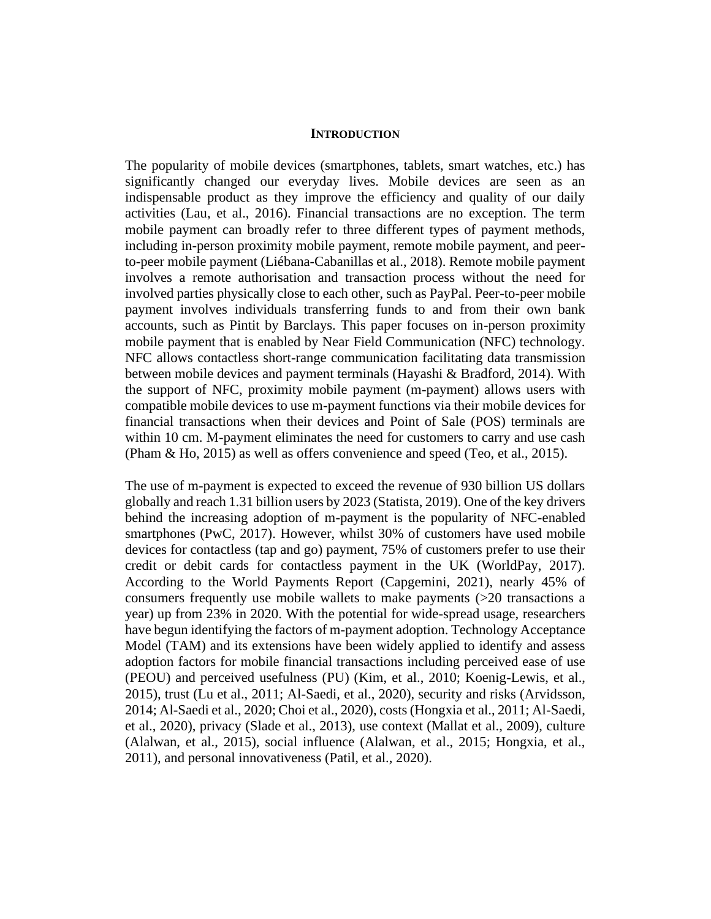#### **INTRODUCTION**

The popularity of mobile devices (smartphones, tablets, smart watches, etc.) has significantly changed our everyday lives. Mobile devices are seen as an indispensable product as they improve the efficiency and quality of our daily activities (Lau, et al., 2016). Financial transactions are no exception. The term mobile payment can broadly refer to three different types of payment methods, including in-person proximity mobile payment, remote mobile payment, and peerto-peer mobile payment (Liébana-Cabanillas et al., 2018). Remote mobile payment involves a remote authorisation and transaction process without the need for involved parties physically close to each other, such as PayPal. Peer-to-peer mobile payment involves individuals transferring funds to and from their own bank accounts, such as Pintit by Barclays. This paper focuses on in-person proximity mobile payment that is enabled by Near Field Communication (NFC) technology. NFC allows contactless short-range communication facilitating data transmission between mobile devices and payment terminals (Hayashi & Bradford, 2014). With the support of NFC, proximity mobile payment (m-payment) allows users with compatible mobile devices to use m-payment functions via their mobile devices for financial transactions when their devices and Point of Sale (POS) terminals are within 10 cm. M-payment eliminates the need for customers to carry and use cash (Pham & Ho, 2015) as well as offers convenience and speed (Teo, et al., 2015).

The use of m-payment is expected to exceed the revenue of 930 billion US dollars globally and reach 1.31 billion users by 2023 (Statista, 2019). One of the key drivers behind the increasing adoption of m-payment is the popularity of NFC-enabled smartphones (PwC, 2017). However, whilst 30% of customers have used mobile devices for contactless (tap and go) payment, 75% of customers prefer to use their credit or debit cards for contactless payment in the UK (WorldPay, 2017). According to the World Payments Report (Capgemini, 2021), nearly 45% of consumers frequently use mobile wallets to make payments (>20 transactions a year) up from 23% in 2020. With the potential for wide-spread usage, researchers have begun identifying the factors of m-payment adoption. Technology Acceptance Model (TAM) and its extensions have been widely applied to identify and assess adoption factors for mobile financial transactions including perceived ease of use (PEOU) and perceived usefulness (PU) (Kim, et al., 2010; Koenig-Lewis, et al., 2015), trust (Lu et al., 2011; Al-Saedi, et al., 2020), security and risks (Arvidsson, 2014; Al-Saedi et al., 2020; Choi et al., 2020), costs (Hongxia et al., 2011; Al-Saedi, et al., 2020), privacy (Slade et al., 2013), use context (Mallat et al., 2009), culture (Alalwan, et al., 2015), social influence (Alalwan, et al., 2015; Hongxia, et al., 2011), and personal innovativeness (Patil, et al., 2020).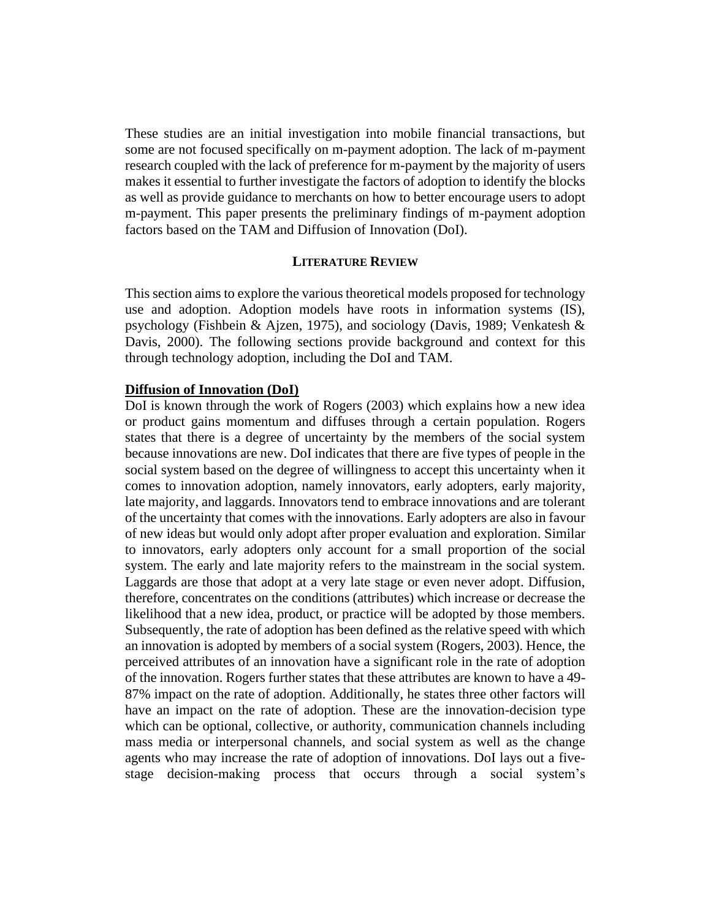These studies are an initial investigation into mobile financial transactions, but some are not focused specifically on m-payment adoption. The lack of m-payment research coupled with the lack of preference for m-payment by the majority of users makes it essential to further investigate the factors of adoption to identify the blocks as well as provide guidance to merchants on how to better encourage users to adopt m-payment. This paper presents the preliminary findings of m-payment adoption factors based on the TAM and Diffusion of Innovation (DoI).

#### **LITERATURE REVIEW**

This section aims to explore the various theoretical models proposed for technology use and adoption. Adoption models have roots in information systems (IS), psychology (Fishbein & Ajzen, 1975), and sociology (Davis, 1989; Venkatesh & Davis, 2000). The following sections provide background and context for this through technology adoption, including the DoI and TAM.

#### **Diffusion of Innovation (DoI)**

DoI is known through the work of Rogers (2003) which explains how a new idea or product gains momentum and diffuses through a certain population. Rogers states that there is a degree of uncertainty by the members of the social system because innovations are new. DoI indicates that there are five types of people in the social system based on the degree of willingness to accept this uncertainty when it comes to innovation adoption, namely innovators, early adopters, early majority, late majority, and laggards. Innovators tend to embrace innovations and are tolerant of the uncertainty that comes with the innovations. Early adopters are also in favour of new ideas but would only adopt after proper evaluation and exploration. Similar to innovators, early adopters only account for a small proportion of the social system. The early and late majority refers to the mainstream in the social system. Laggards are those that adopt at a very late stage or even never adopt. Diffusion, therefore, concentrates on the conditions (attributes) which increase or decrease the likelihood that a new idea, product, or practice will be adopted by those members. Subsequently, the rate of adoption has been defined as the relative speed with which an innovation is adopted by members of a social system (Rogers, 2003). Hence, the perceived attributes of an innovation have a significant role in the rate of adoption of the innovation. Rogers further states that these attributes are known to have a 49- 87% impact on the rate of adoption. Additionally, he states three other factors will have an impact on the rate of adoption. These are the innovation-decision type which can be optional, collective, or authority, communication channels including mass media or interpersonal channels, and social system as well as the change agents who may increase the rate of adoption of innovations. DoI lays out a fivestage decision-making process that occurs through a social system's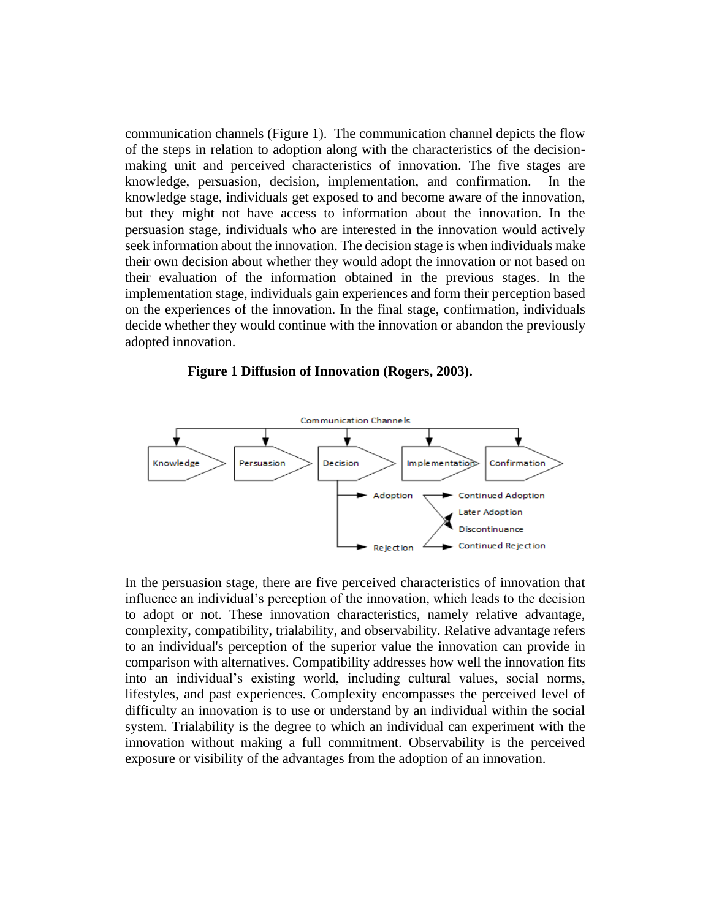communication channels (Figure 1). The communication channel depicts the flow of the steps in relation to adoption along with the characteristics of the decisionmaking unit and perceived characteristics of innovation. The five stages are knowledge, persuasion, decision, implementation, and confirmation. In the knowledge stage, individuals get exposed to and become aware of the innovation, but they might not have access to information about the innovation. In the persuasion stage, individuals who are interested in the innovation would actively seek information about the innovation. The decision stage is when individuals make their own decision about whether they would adopt the innovation or not based on their evaluation of the information obtained in the previous stages. In the implementation stage, individuals gain experiences and form their perception based on the experiences of the innovation. In the final stage, confirmation, individuals decide whether they would continue with the innovation or abandon the previously adopted innovation.

#### **Figure 1 Diffusion of Innovation (Rogers, 2003).**



In the persuasion stage, there are five perceived characteristics of innovation that influence an individual's perception of the innovation, which leads to the decision to adopt or not. These innovation characteristics, namely relative advantage, complexity, compatibility, trialability, and observability. Relative advantage refers to an individual's perception of the superior value the innovation can provide in comparison with alternatives. Compatibility addresses how well the innovation fits into an individual's existing world, including cultural values, social norms, lifestyles, and past experiences. Complexity encompasses the perceived level of difficulty an innovation is to use or understand by an individual within the social system. Trialability is the degree to which an individual can experiment with the innovation without making a full commitment. Observability is the perceived exposure or visibility of the advantages from the adoption of an innovation.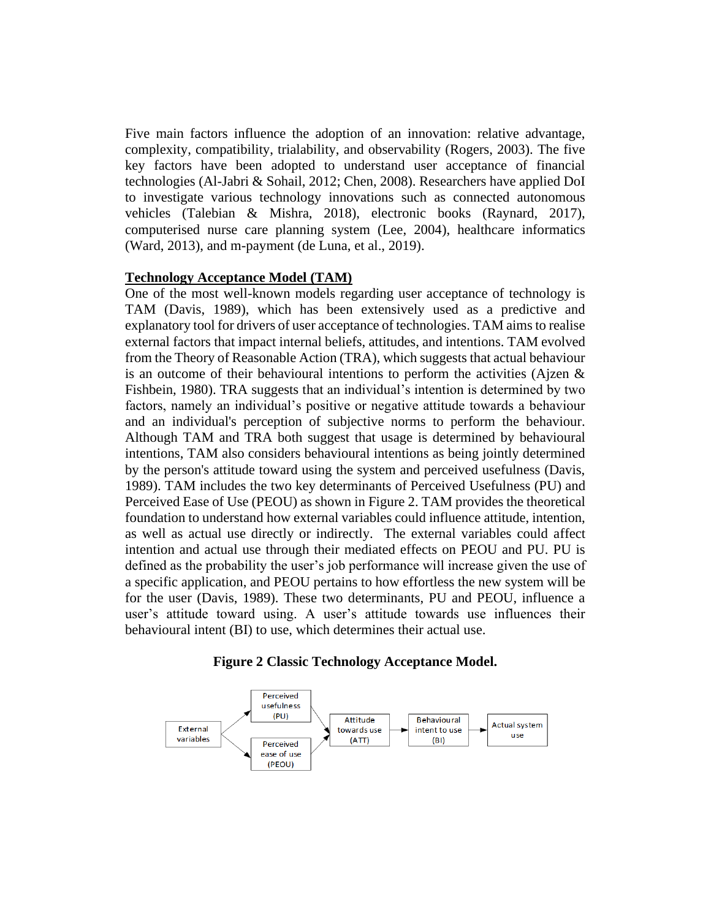Five main factors influence the adoption of an innovation: relative advantage, complexity, compatibility, trialability, and observability (Rogers, 2003). The five key factors have been adopted to understand user acceptance of financial technologies (Al-Jabri & Sohail, 2012; Chen, 2008). Researchers have applied DoI to investigate various technology innovations such as connected autonomous vehicles (Talebian & Mishra, 2018), electronic books (Raynard, 2017), computerised nurse care planning system (Lee, 2004), healthcare informatics (Ward, 2013), and m-payment (de Luna, et al., 2019).

#### **Technology Acceptance Model (TAM)**

One of the most well-known models regarding user acceptance of technology is TAM (Davis, 1989), which has been extensively used as a predictive and explanatory tool for drivers of user acceptance of technologies. TAM aims to realise external factors that impact internal beliefs, attitudes, and intentions. TAM evolved from the Theory of Reasonable Action (TRA), which suggests that actual behaviour is an outcome of their behavioural intentions to perform the activities (Ajzen & Fishbein, 1980). TRA suggests that an individual's intention is determined by two factors, namely an individual's positive or negative attitude towards a behaviour and an individual's perception of subjective norms to perform the behaviour. Although TAM and TRA both suggest that usage is determined by behavioural intentions, TAM also considers behavioural intentions as being jointly determined by the person's attitude toward using the system and perceived usefulness (Davis, 1989). TAM includes the two key determinants of Perceived Usefulness (PU) and Perceived Ease of Use (PEOU) as shown in Figure 2. TAM provides the theoretical foundation to understand how external variables could influence attitude, intention, as well as actual use directly or indirectly. The external variables could affect intention and actual use through their mediated effects on PEOU and PU. PU is defined as the probability the user's job performance will increase given the use of a specific application, and PEOU pertains to how effortless the new system will be for the user (Davis, 1989). These two determinants, PU and PEOU, influence a user's attitude toward using. A user's attitude towards use influences their behavioural intent (BI) to use, which determines their actual use.

#### **Figure 2 Classic Technology Acceptance Model.**

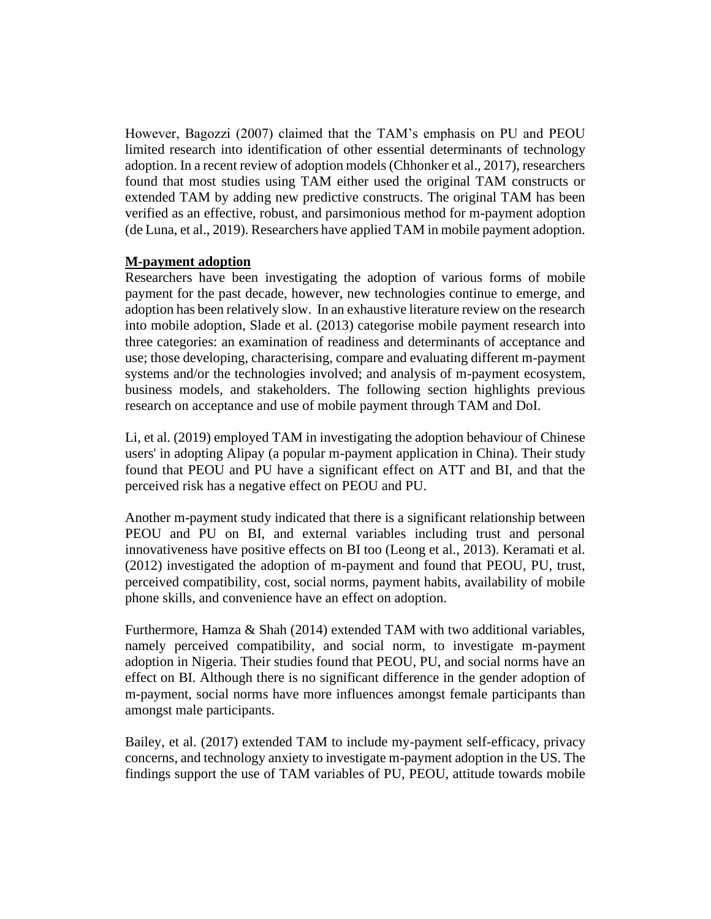However, Bagozzi (2007) claimed that the TAM's emphasis on PU and PEOU limited research into identification of other essential determinants of technology adoption. In a recent review of adoption models (Chhonker et al., 2017), researchers found that most studies using TAM either used the original TAM constructs or extended TAM by adding new predictive constructs. The original TAM has been verified as an effective, robust, and parsimonious method for m-payment adoption (de Luna, et al., 2019). Researchers have applied TAM in mobile payment adoption.

## **M-payment adoption**

Researchers have been investigating the adoption of various forms of mobile payment for the past decade, however, new technologies continue to emerge, and adoption has been relatively slow. In an exhaustive literature review on the research into mobile adoption, Slade et al. (2013) categorise mobile payment research into three categories: an examination of readiness and determinants of acceptance and use; those developing, characterising, compare and evaluating different m-payment systems and/or the technologies involved; and analysis of m-payment ecosystem, business models, and stakeholders. The following section highlights previous research on acceptance and use of mobile payment through TAM and DoI.

Li, et al. (2019) employed TAM in investigating the adoption behaviour of Chinese users' in adopting Alipay (a popular m-payment application in China). Their study found that PEOU and PU have a significant effect on ATT and BI, and that the perceived risk has a negative effect on PEOU and PU.

Another m-payment study indicated that there is a significant relationship between PEOU and PU on BI, and external variables including trust and personal innovativeness have positive effects on BI too (Leong et al., 2013). Keramati et al. (2012) investigated the adoption of m-payment and found that PEOU, PU, trust, perceived compatibility, cost, social norms, payment habits, availability of mobile phone skills, and convenience have an effect on adoption.

Furthermore, Hamza & Shah (2014) extended TAM with two additional variables, namely perceived compatibility, and social norm, to investigate m-payment adoption in Nigeria. Their studies found that PEOU, PU, and social norms have an effect on BI. Although there is no significant difference in the gender adoption of m-payment, social norms have more influences amongst female participants than amongst male participants.

Bailey, et al. (2017) extended TAM to include my-payment self-efficacy, privacy concerns, and technology anxiety to investigate m-payment adoption in the US. The findings support the use of TAM variables of PU, PEOU, attitude towards mobile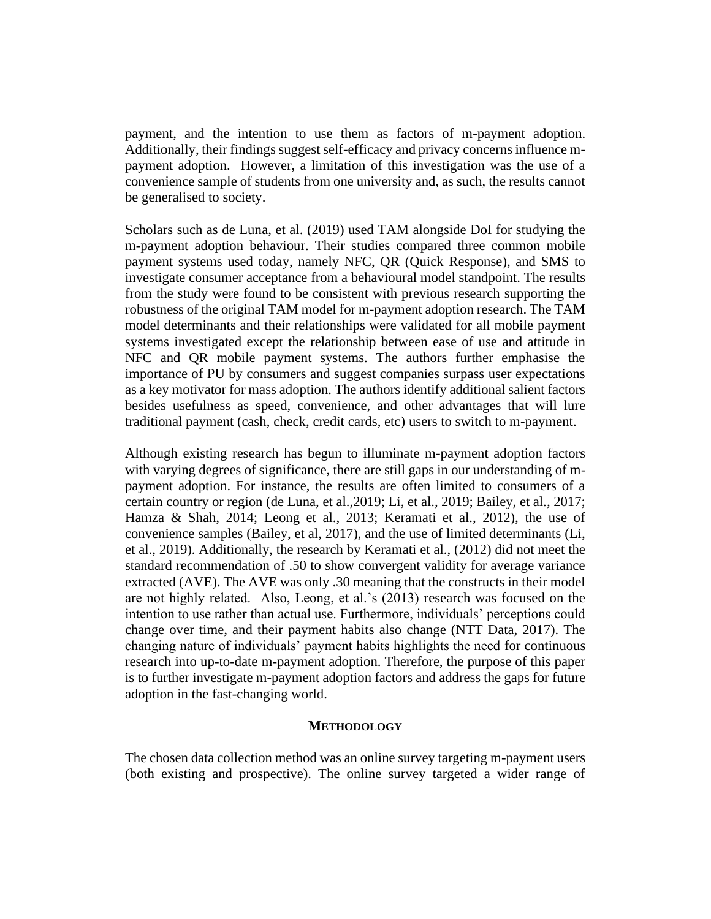payment, and the intention to use them as factors of m-payment adoption. Additionally, their findings suggest self-efficacy and privacy concerns influence mpayment adoption. However, a limitation of this investigation was the use of a convenience sample of students from one university and, as such, the results cannot be generalised to society.

Scholars such as de Luna, et al. (2019) used TAM alongside DoI for studying the m-payment adoption behaviour. Their studies compared three common mobile payment systems used today, namely NFC, QR (Quick Response), and SMS to investigate consumer acceptance from a behavioural model standpoint. The results from the study were found to be consistent with previous research supporting the robustness of the original TAM model for m-payment adoption research. The TAM model determinants and their relationships were validated for all mobile payment systems investigated except the relationship between ease of use and attitude in NFC and QR mobile payment systems. The authors further emphasise the importance of PU by consumers and suggest companies surpass user expectations as a key motivator for mass adoption. The authors identify additional salient factors besides usefulness as speed, convenience, and other advantages that will lure traditional payment (cash, check, credit cards, etc) users to switch to m-payment.

Although existing research has begun to illuminate m-payment adoption factors with varying degrees of significance, there are still gaps in our understanding of mpayment adoption. For instance, the results are often limited to consumers of a certain country or region (de Luna, et al.,2019; Li, et al., 2019; Bailey, et al., 2017; Hamza & Shah, 2014; Leong et al., 2013; Keramati et al., 2012), the use of convenience samples (Bailey, et al, 2017), and the use of limited determinants (Li, et al., 2019). Additionally, the research by Keramati et al., (2012) did not meet the standard recommendation of .50 to show convergent validity for average variance extracted (AVE). The AVE was only .30 meaning that the constructs in their model are not highly related. Also, Leong, et al.'s (2013) research was focused on the intention to use rather than actual use. Furthermore, individuals' perceptions could change over time, and their payment habits also change (NTT Data, 2017). The changing nature of individuals' payment habits highlights the need for continuous research into up-to-date m-payment adoption. Therefore, the purpose of this paper is to further investigate m-payment adoption factors and address the gaps for future adoption in the fast-changing world.

#### **METHODOLOGY**

The chosen data collection method was an online survey targeting m-payment users (both existing and prospective). The online survey targeted a wider range of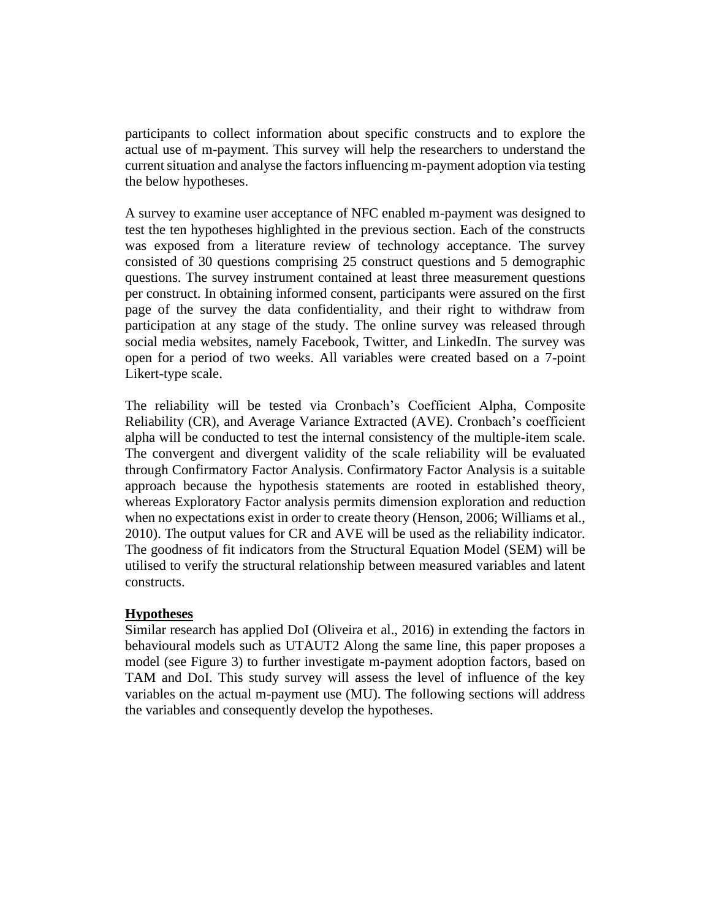participants to collect information about specific constructs and to explore the actual use of m-payment. This survey will help the researchers to understand the current situation and analyse the factors influencing m-payment adoption via testing the below hypotheses.

A survey to examine user acceptance of NFC enabled m-payment was designed to test the ten hypotheses highlighted in the previous section. Each of the constructs was exposed from a literature review of technology acceptance. The survey consisted of 30 questions comprising 25 construct questions and 5 demographic questions. The survey instrument contained at least three measurement questions per construct. In obtaining informed consent, participants were assured on the first page of the survey the data confidentiality, and their right to withdraw from participation at any stage of the study. The online survey was released through social media websites, namely Facebook, Twitter, and LinkedIn. The survey was open for a period of two weeks. All variables were created based on a 7-point Likert-type scale.

The reliability will be tested via Cronbach's Coefficient Alpha, Composite Reliability (CR), and Average Variance Extracted (AVE). Cronbach's coefficient alpha will be conducted to test the internal consistency of the multiple-item scale. The convergent and divergent validity of the scale reliability will be evaluated through Confirmatory Factor Analysis. Confirmatory Factor Analysis is a suitable approach because the hypothesis statements are rooted in established theory, whereas Exploratory Factor analysis permits dimension exploration and reduction when no expectations exist in order to create theory (Henson, 2006; Williams et al., 2010). The output values for CR and AVE will be used as the reliability indicator. The goodness of fit indicators from the Structural Equation Model (SEM) will be utilised to verify the structural relationship between measured variables and latent constructs.

## **Hypotheses**

Similar research has applied DoI (Oliveira et al., 2016) in extending the factors in behavioural models such as UTAUT2 Along the same line, this paper proposes a model (see Figure 3) to further investigate m-payment adoption factors, based on TAM and DoI. This study survey will assess the level of influence of the key variables on the actual m-payment use (MU). The following sections will address the variables and consequently develop the hypotheses.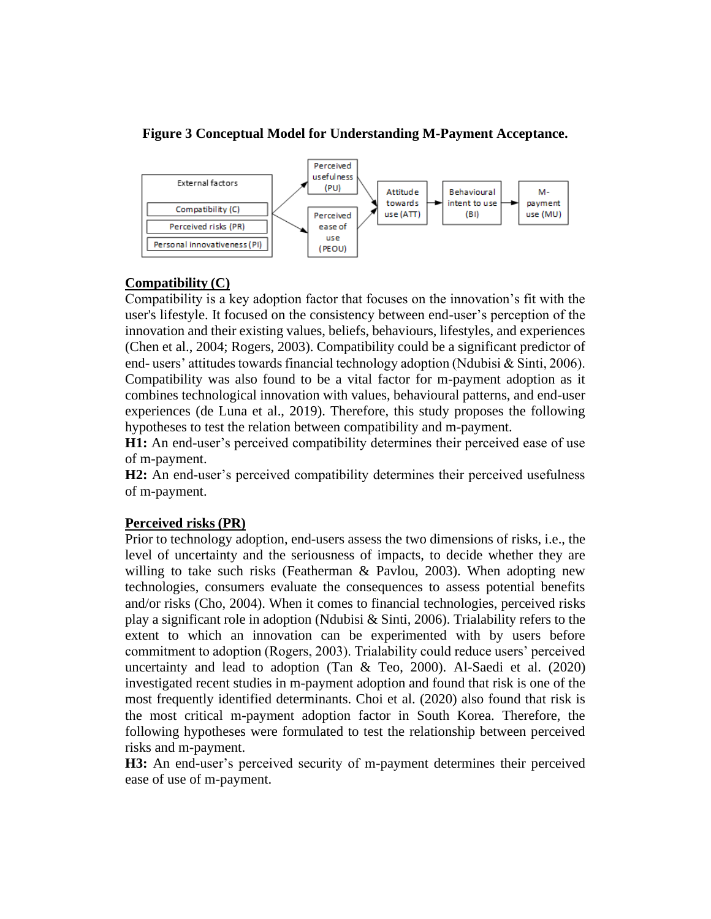## **Figure 3 Conceptual Model for Understanding M-Payment Acceptance.**



## **Compatibility (C)**

Compatibility is a key adoption factor that focuses on the innovation's fit with the user's lifestyle. It focused on the consistency between end-user's perception of the innovation and their existing values, beliefs, behaviours, lifestyles, and experiences (Chen et al., 2004; Rogers, 2003). Compatibility could be a significant predictor of end- users' attitudes towards financial technology adoption (Ndubisi & Sinti, 2006). Compatibility was also found to be a vital factor for m-payment adoption as it combines technological innovation with values, behavioural patterns, and end-user experiences (de Luna et al., 2019). Therefore, this study proposes the following hypotheses to test the relation between compatibility and m-payment.

**H1:** An end-user's perceived compatibility determines their perceived ease of use of m-payment.

**H2:** An end-user's perceived compatibility determines their perceived usefulness of m-payment.

## **Perceived risks (PR)**

Prior to technology adoption, end-users assess the two dimensions of risks, i.e., the level of uncertainty and the seriousness of impacts, to decide whether they are willing to take such risks (Featherman & Pavlou, 2003). When adopting new technologies, consumers evaluate the consequences to assess potential benefits and/or risks (Cho, 2004). When it comes to financial technologies, perceived risks play a significant role in adoption (Ndubisi & Sinti, 2006). Trialability refers to the extent to which an innovation can be experimented with by users before commitment to adoption (Rogers, 2003). Trialability could reduce users' perceived uncertainty and lead to adoption (Tan & Teo, 2000). Al-Saedi et al. (2020) investigated recent studies in m-payment adoption and found that risk is one of the most frequently identified determinants. Choi et al. (2020) also found that risk is the most critical m-payment adoption factor in South Korea. Therefore, the following hypotheses were formulated to test the relationship between perceived risks and m-payment.

**H3:** An end-user's perceived security of m-payment determines their perceived ease of use of m-payment.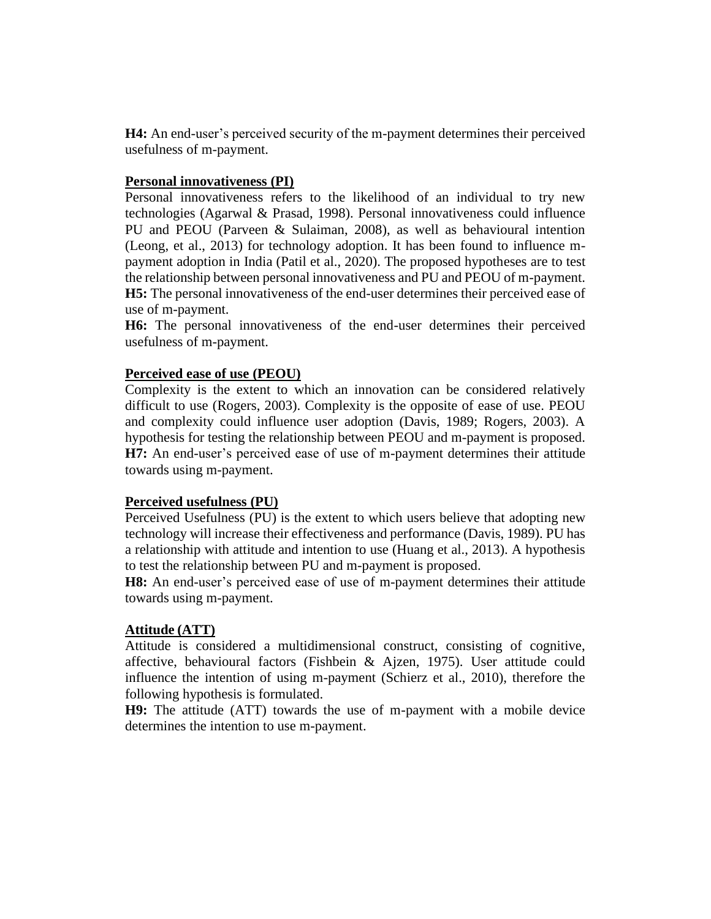**H4:** An end-user's perceived security of the m-payment determines their perceived usefulness of m-payment.

## **Personal innovativeness (PI)**

Personal innovativeness refers to the likelihood of an individual to try new technologies (Agarwal & Prasad, 1998). Personal innovativeness could influence PU and PEOU (Parveen & Sulaiman, 2008), as well as behavioural intention (Leong, et al., 2013) for technology adoption. It has been found to influence mpayment adoption in India (Patil et al., 2020). The proposed hypotheses are to test the relationship between personal innovativeness and PU and PEOU of m-payment. **H5:** The personal innovativeness of the end-user determines their perceived ease of use of m-payment.

**H6:** The personal innovativeness of the end-user determines their perceived usefulness of m-payment.

## **Perceived ease of use (PEOU)**

Complexity is the extent to which an innovation can be considered relatively difficult to use (Rogers, 2003). Complexity is the opposite of ease of use. PEOU and complexity could influence user adoption (Davis, 1989; Rogers, 2003). A hypothesis for testing the relationship between PEOU and m-payment is proposed. **H7:** An end-user's perceived ease of use of m-payment determines their attitude towards using m-payment.

## **Perceived usefulness (PU)**

Perceived Usefulness (PU) is the extent to which users believe that adopting new technology will increase their effectiveness and performance (Davis, 1989). PU has a relationship with attitude and intention to use (Huang et al., 2013). A hypothesis to test the relationship between PU and m-payment is proposed.

**H8:** An end-user's perceived ease of use of m-payment determines their attitude towards using m-payment.

## **Attitude (ATT)**

Attitude is considered a multidimensional construct, consisting of cognitive, affective, behavioural factors (Fishbein & Ajzen, 1975). User attitude could influence the intention of using m-payment (Schierz et al., 2010), therefore the following hypothesis is formulated.

**H9:** The attitude (ATT) towards the use of m-payment with a mobile device determines the intention to use m-payment.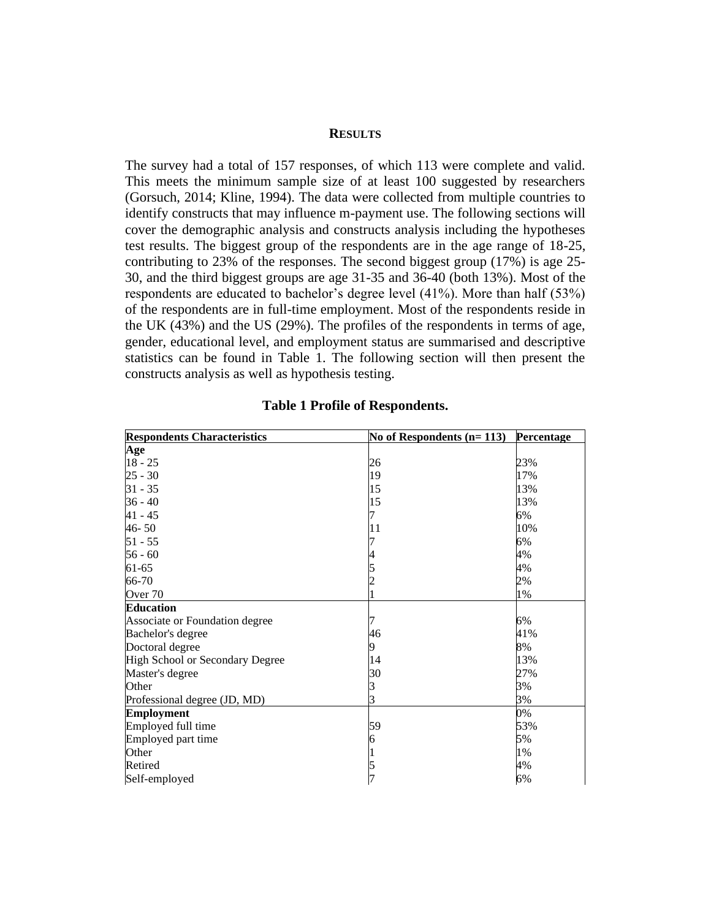#### **RESULTS**

The survey had a total of 157 responses, of which 113 were complete and valid. This meets the minimum sample size of at least 100 suggested by researchers (Gorsuch, 2014; Kline, 1994). The data were collected from multiple countries to identify constructs that may influence m-payment use. The following sections will cover the demographic analysis and constructs analysis including the hypotheses test results. The biggest group of the respondents are in the age range of 18-25, contributing to 23% of the responses. The second biggest group (17%) is age 25- 30, and the third biggest groups are age 31-35 and 36-40 (both 13%). Most of the respondents are educated to bachelor's degree level (41%). More than half (53%) of the respondents are in full-time employment. Most of the respondents reside in the UK (43%) and the US (29%). The profiles of the respondents in terms of age, gender, educational level, and employment status are summarised and descriptive statistics can be found in Table 1. The following section will then present the constructs analysis as well as hypothesis testing.

| <b>Respondents Characteristics</b> | No of Respondents $(n=113)$ | Percentage |
|------------------------------------|-----------------------------|------------|
| Age                                |                             |            |
| $18 - 25$                          | 26                          | 23%        |
| $25 - 30$                          | 19                          | 17%        |
| $31 - 35$                          | 15                          | 13%        |
| $36 - 40$                          | 15                          | 13%        |
| $41 - 45$                          | 7                           | 6%         |
| $46 - 50$                          | 11                          | 10%        |
| $51 - 55$                          |                             | 6%         |
| $56 - 60$                          |                             | 4%         |
| 61-65                              |                             | 4%         |
| 66-70                              |                             | 2%         |
| Over 70                            |                             | 1%         |
| <b>Education</b>                   |                             |            |
| Associate or Foundation degree     |                             | 6%         |
| Bachelor's degree                  | 46                          | 41%        |
| Doctoral degree                    | 9                           | 8%         |
| High School or Secondary Degree    | 14                          | 13%        |
| Master's degree                    | 30                          | 27%        |
| Other                              | 3                           | 3%         |
| Professional degree (JD, MD)       | 3                           | 3%         |
| <b>Employment</b>                  |                             | 0%         |
| Employed full time                 | 59                          | 53%        |
| Employed part time                 | 6                           | 5%         |
| Other                              |                             | 1%         |
| Retired                            | 5                           | 4%         |
| Self-employed                      |                             | 6%         |

#### **Table 1 Profile of Respondents.**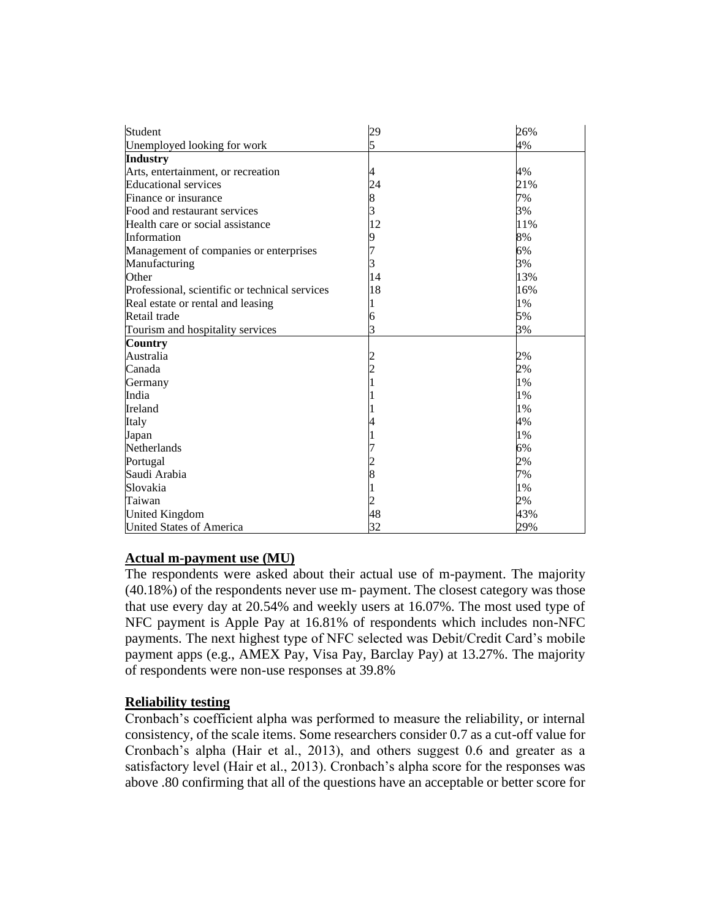| Student                                        | 29 | 26% |
|------------------------------------------------|----|-----|
| Unemployed looking for work                    | 5  | 4%  |
| <b>Industry</b>                                |    |     |
| Arts, entertainment, or recreation             | 4  | 4%  |
| <b>Educational services</b>                    | 24 | 21% |
| Finance or insurance                           | 8  | 7%  |
| Food and restaurant services                   | 3  | 3%  |
| Health care or social assistance               | 12 | 11% |
| Information                                    | 9  | 8%  |
| Management of companies or enterprises         | 7  | 6%  |
| Manufacturing                                  | 3  | 3%  |
| Other                                          | 14 | 13% |
| Professional, scientific or technical services | 18 | 16% |
| Real estate or rental and leasing              |    | 1%  |
| Retail trade                                   | 6  | 5%  |
| Tourism and hospitality services               | 3  | 3%  |
| <b>Country</b>                                 |    |     |
| Australia                                      |    | 2%  |
| Canada                                         |    | 2%  |
| Germany                                        |    | 1%  |
| India                                          |    | 1%  |
| Ireland                                        |    | 1%  |
| Italy                                          |    | 4%  |
| Japan                                          |    | 1%  |
| Netherlands                                    |    | 6%  |
| Portugal                                       |    | 2%  |
| Saudi Arabia                                   | 8  | 7%  |
| Slovakia                                       |    | 1%  |
| Taiwan                                         |    | 2%  |
| <b>United Kingdom</b>                          | 48 | 43% |
| <b>United States of America</b>                | 32 | 29% |

## **Actual m-payment use (MU)**

The respondents were asked about their actual use of m-payment. The majority (40.18%) of the respondents never use m- payment. The closest category was those that use every day at 20.54% and weekly users at 16.07%. The most used type of NFC payment is Apple Pay at 16.81% of respondents which includes non-NFC payments. The next highest type of NFC selected was Debit/Credit Card's mobile payment apps (e.g., AMEX Pay, Visa Pay, Barclay Pay) at 13.27%. The majority of respondents were non-use responses at 39.8%

## **Reliability testing**

Cronbach's coefficient alpha was performed to measure the reliability, or internal consistency, of the scale items. Some researchers consider 0.7 as a cut-off value for Cronbach's alpha (Hair et al., 2013), and others suggest 0.6 and greater as a satisfactory level (Hair et al., 2013). Cronbach's alpha score for the responses was above .80 confirming that all of the questions have an acceptable or better score for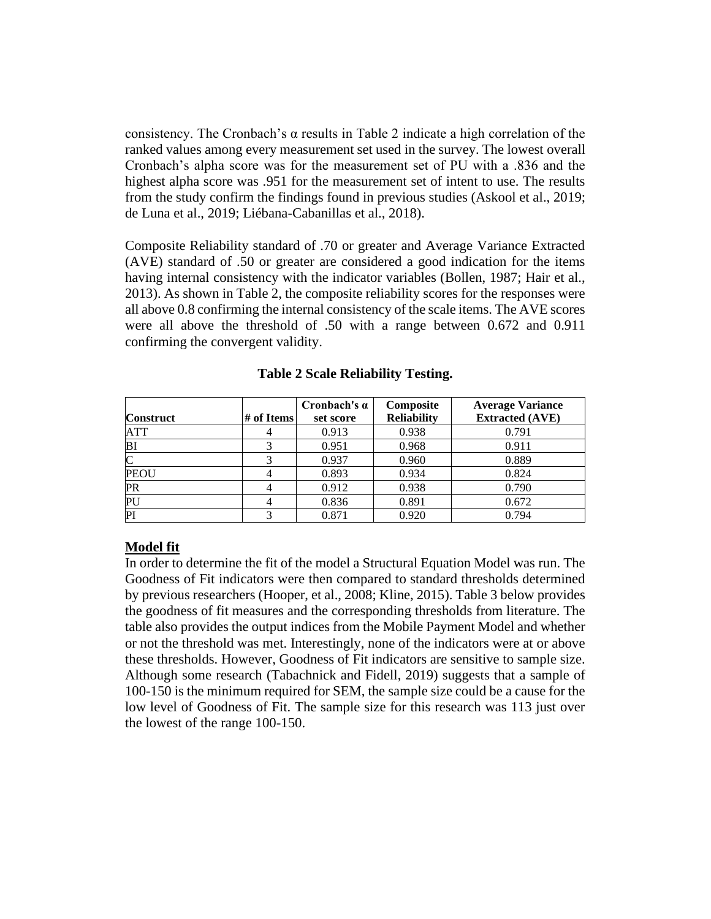consistency. The Cronbach's α results in Table 2 indicate a high correlation of the ranked values among every measurement set used in the survey. The lowest overall Cronbach's alpha score was for the measurement set of PU with a .836 and the highest alpha score was .951 for the measurement set of intent to use. The results from the study confirm the findings found in previous studies (Askool et al., 2019; de Luna et al., 2019; Liébana-Cabanillas et al., 2018).

Composite Reliability standard of .70 or greater and Average Variance Extracted (AVE) standard of .50 or greater are considered a good indication for the items having internal consistency with the indicator variables (Bollen, 1987; Hair et al., 2013). As shown in Table 2, the composite reliability scores for the responses were all above 0.8 confirming the internal consistency of the scale items. The AVE scores were all above the threshold of .50 with a range between 0.672 and 0.911 confirming the convergent validity.

|                  |            | Cronbach's $\alpha$ | Composite          | <b>Average Variance</b> |
|------------------|------------|---------------------|--------------------|-------------------------|
| <b>Construct</b> | # of Items | set score           | <b>Reliability</b> | <b>Extracted (AVE)</b>  |
| ATT              |            | 0.913               | 0.938              | 0.791                   |
| BI               |            | 0.951               | 0.968              | 0.911                   |
|                  |            | 0.937               | 0.960              | 0.889                   |
| <b>PEOU</b>      |            | 0.893               | 0.934              | 0.824                   |
| <b>PR</b>        |            | 0.912               | 0.938              | 0.790                   |
| PU               |            | 0.836               | 0.891              | 0.672                   |
| PI               |            | 0.871               | 0.920              | 0.794                   |

**Table 2 Scale Reliability Testing.**

## **Model fit**

In order to determine the fit of the model a Structural Equation Model was run. The Goodness of Fit indicators were then compared to standard thresholds determined by previous researchers (Hooper, et al., 2008; Kline, 2015). Table 3 below provides the goodness of fit measures and the corresponding thresholds from literature. The table also provides the output indices from the Mobile Payment Model and whether or not the threshold was met. Interestingly, none of the indicators were at or above these thresholds. However, Goodness of Fit indicators are sensitive to sample size. Although some research (Tabachnick and Fidell, 2019) suggests that a sample of 100-150 is the minimum required for SEM, the sample size could be a cause for the low level of Goodness of Fit. The sample size for this research was 113 just over the lowest of the range 100-150.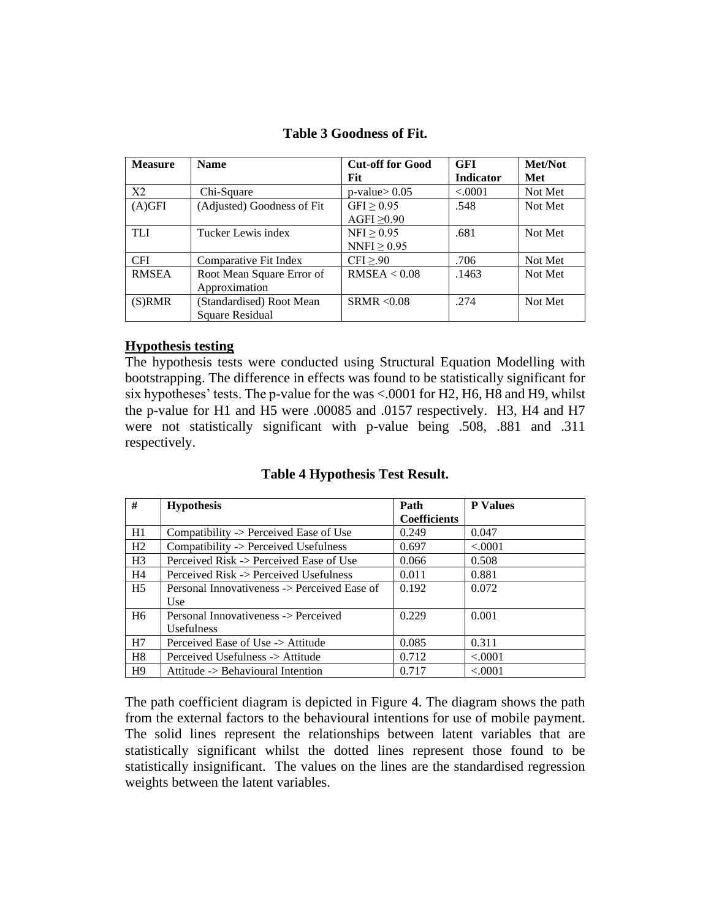|  | <b>Table 3 Goodness of Fit.</b> |  |
|--|---------------------------------|--|
|--|---------------------------------|--|

| <b>Measure</b> | <b>Name</b>                | <b>Cut-off for Good</b> | <b>GFI</b>       | Met/Not |
|----------------|----------------------------|-------------------------|------------------|---------|
|                |                            | <b>Fit</b>              | <b>Indicator</b> | Met     |
| X <sub>2</sub> | Chi-Square                 | $p$ -value $> 0.05$     | < .0001          | Not Met |
| $(A)$ GFI      | (Adjusted) Goodness of Fit | GFI $\geq$ 0.95         | .548             | Not Met |
|                |                            | AGFI $\geq$ 0.90        |                  |         |
| <b>TLI</b>     | Tucker Lewis index         | NFI > 0.95              | .681             | Not Met |
|                |                            | NNFI $\geq$ 0.95        |                  |         |
| <b>CFI</b>     | Comparative Fit Index      | CFI > 90                | .706             | Not Met |
| <b>RMSEA</b>   | Root Mean Square Error of  | RMSEA < 0.08            | .1463            | Not Met |
|                | Approximation              |                         |                  |         |
| $(S)$ RMR      | (Standardised) Root Mean   | SRMR < 0.08             | .274             | Not Met |
|                | Square Residual            |                         |                  |         |

## **Hypothesis testing**

The hypothesis tests were conducted using Structural Equation Modelling with bootstrapping. The difference in effects was found to be statistically significant for six hypotheses' tests. The p-value for the was <.0001 for H2, H6, H8 and H9, whilst the p-value for H1 and H5 were .00085 and .0157 respectively. H3, H4 and H7 were not statistically significant with p-value being .508, .881 and .311 respectively.

## **Table 4 Hypothesis Test Result.**

| #              | <b>Hypothesis</b>                            | Path                | <b>P</b> Values |
|----------------|----------------------------------------------|---------------------|-----------------|
|                |                                              | <b>Coefficients</b> |                 |
| H1             | Compatibility -> Perceived Ease of Use       | 0.249               | 0.047           |
| H <sub>2</sub> | Compatibility -> Perceived Usefulness        | 0.697               | < .0001         |
| H <sub>3</sub> | Perceived Risk -> Perceived Ease of Use      | 0.066               | 0.508           |
| H4             | Perceived Risk -> Perceived Usefulness       | 0.011               | 0.881           |
| H <sub>5</sub> | Personal Innovativeness -> Perceived Ease of | 0.192               | 0.072           |
|                | Use                                          |                     |                 |
| H <sub>6</sub> | Personal Innovativeness -> Perceived         | 0.229               | 0.001           |
|                | <i>Usefulness</i>                            |                     |                 |
| H7             | Perceived Ease of Use -> Attitude            | 0.085               | 0.311           |
| H8             | Perceived Usefulness -> Attitude             | 0.712               | < 0.001         |
| H <sub>9</sub> | Attitude -> Behavioural Intention            | 0.717               | < 0.001         |

The path coefficient diagram is depicted in Figure 4. The diagram shows the path from the external factors to the behavioural intentions for use of mobile payment. The solid lines represent the relationships between latent variables that are statistically significant whilst the dotted lines represent those found to be statistically insignificant. The values on the lines are the standardised regression weights between the latent variables.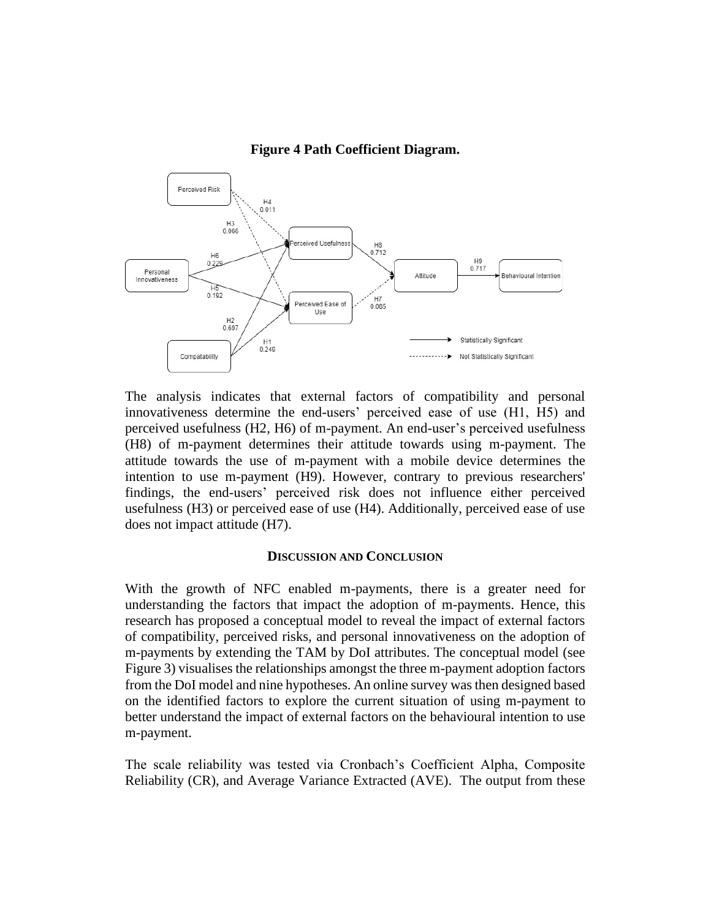#### **Figure 4 Path Coefficient Diagram.**



The analysis indicates that external factors of compatibility and personal innovativeness determine the end-users' perceived ease of use (H1, H5) and perceived usefulness (H2, H6) of m-payment. An end-user's perceived usefulness (H8) of m-payment determines their attitude towards using m-payment. The attitude towards the use of m-payment with a mobile device determines the intention to use m-payment (H9). However, contrary to previous researchers' findings, the end-users' perceived risk does not influence either perceived usefulness (H3) or perceived ease of use (H4). Additionally, perceived ease of use does not impact attitude (H7).

#### **DISCUSSION AND CONCLUSION**

With the growth of NFC enabled m-payments, there is a greater need for understanding the factors that impact the adoption of m-payments. Hence, this research has proposed a conceptual model to reveal the impact of external factors of compatibility, perceived risks, and personal innovativeness on the adoption of m-payments by extending the TAM by DoI attributes. The conceptual model (see Figure 3) visualises the relationships amongst the three m-payment adoption factors from the DoI model and nine hypotheses. An online survey was then designed based on the identified factors to explore the current situation of using m-payment to better understand the impact of external factors on the behavioural intention to use m-payment.

The scale reliability was tested via Cronbach's Coefficient Alpha, Composite Reliability (CR), and Average Variance Extracted (AVE). The output from these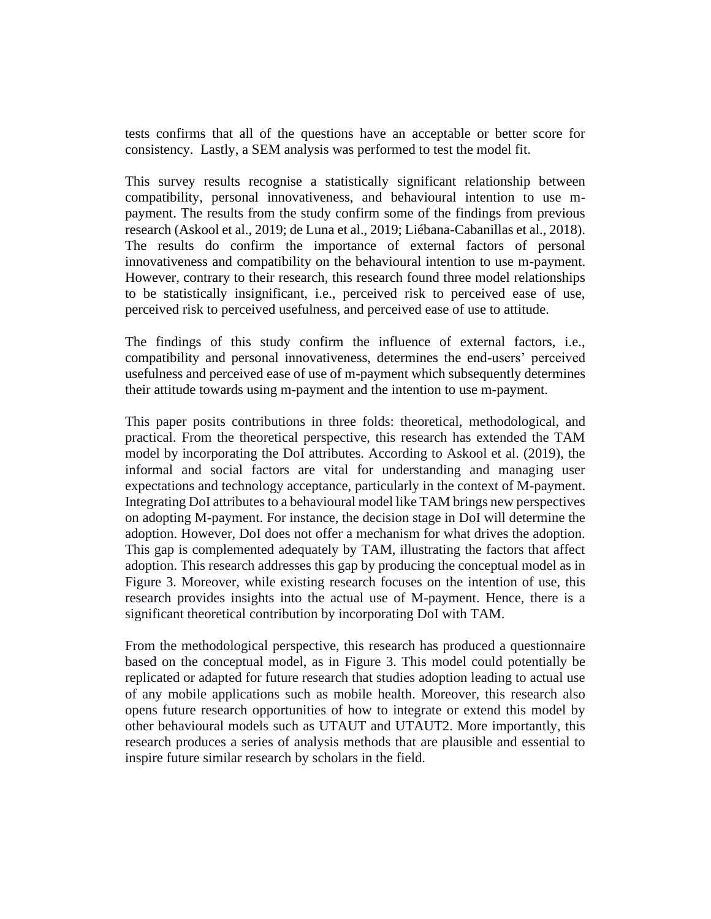tests confirms that all of the questions have an acceptable or better score for consistency. Lastly, a SEM analysis was performed to test the model fit.

This survey results recognise a statistically significant relationship between compatibility, personal innovativeness, and behavioural intention to use mpayment. The results from the study confirm some of the findings from previous research (Askool et al., 2019; de Luna et al., 2019; Liébana-Cabanillas et al., 2018). The results do confirm the importance of external factors of personal innovativeness and compatibility on the behavioural intention to use m-payment. However, contrary to their research, this research found three model relationships to be statistically insignificant, i.e., perceived risk to perceived ease of use, perceived risk to perceived usefulness, and perceived ease of use to attitude.

The findings of this study confirm the influence of external factors, i.e., compatibility and personal innovativeness, determines the end-users' perceived usefulness and perceived ease of use of m-payment which subsequently determines their attitude towards using m-payment and the intention to use m-payment.

This paper posits contributions in three folds: theoretical, methodological, and practical. From the theoretical perspective, this research has extended the TAM model by incorporating the DoI attributes. According to Askool et al. (2019), the informal and social factors are vital for understanding and managing user expectations and technology acceptance, particularly in the context of M-payment. Integrating DoI attributes to a behavioural model like TAM brings new perspectives on adopting M-payment. For instance, the decision stage in DoI will determine the adoption. However, DoI does not offer a mechanism for what drives the adoption. This gap is complemented adequately by TAM, illustrating the factors that affect adoption. This research addresses this gap by producing the conceptual model as in Figure 3. Moreover, while existing research focuses on the intention of use, this research provides insights into the actual use of M-payment. Hence, there is a significant theoretical contribution by incorporating DoI with TAM.

From the methodological perspective, this research has produced a questionnaire based on the conceptual model, as in Figure 3. This model could potentially be replicated or adapted for future research that studies adoption leading to actual use of any mobile applications such as mobile health. Moreover, this research also opens future research opportunities of how to integrate or extend this model by other behavioural models such as UTAUT and UTAUT2. More importantly, this research produces a series of analysis methods that are plausible and essential to inspire future similar research by scholars in the field.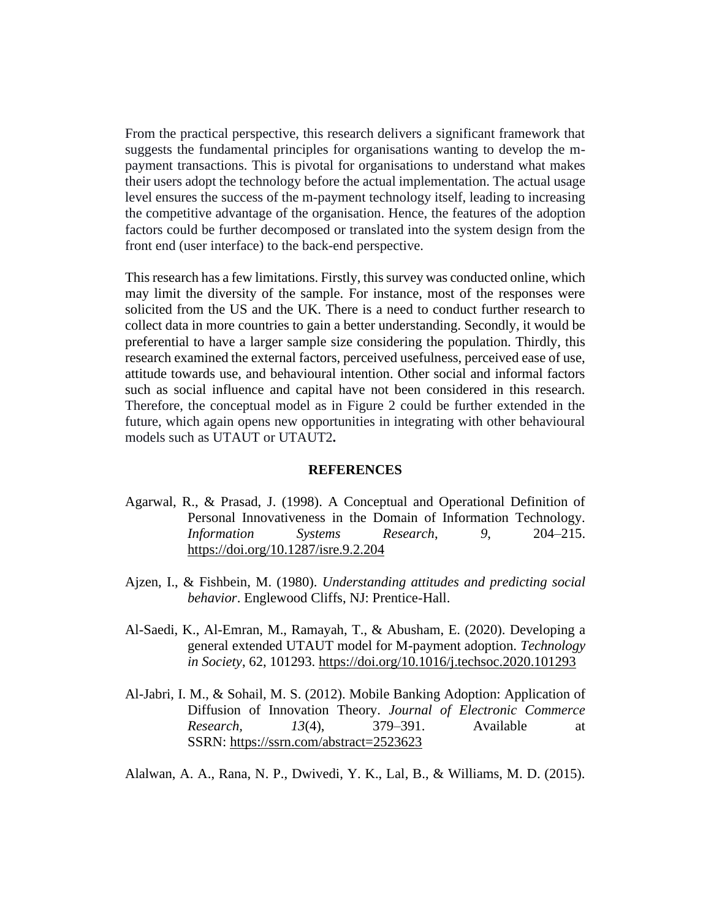From the practical perspective, this research delivers a significant framework that suggests the fundamental principles for organisations wanting to develop the mpayment transactions. This is pivotal for organisations to understand what makes their users adopt the technology before the actual implementation. The actual usage level ensures the success of the m-payment technology itself, leading to increasing the competitive advantage of the organisation. Hence, the features of the adoption factors could be further decomposed or translated into the system design from the front end (user interface) to the back-end perspective.

This research has a few limitations. Firstly, this survey was conducted online, which may limit the diversity of the sample. For instance, most of the responses were solicited from the US and the UK. There is a need to conduct further research to collect data in more countries to gain a better understanding. Secondly, it would be preferential to have a larger sample size considering the population. Thirdly, this research examined the external factors, perceived usefulness, perceived ease of use, attitude towards use, and behavioural intention. Other social and informal factors such as social influence and capital have not been considered in this research. Therefore, the conceptual model as in Figure 2 could be further extended in the future, which again opens new opportunities in integrating with other behavioural models such as UTAUT or UTAUT2**.** 

#### **REFERENCES**

- Agarwal, R., & Prasad, J. (1998). A Conceptual and Operational Definition of Personal Innovativeness in the Domain of Information Technology. *Information Systems Research*, *9*, 204–215. <https://doi.org/10.1287/isre.9.2.204>
- Ajzen, I., & Fishbein, M. (1980). *Understanding attitudes and predicting social behavior*. Englewood Cliffs, NJ: Prentice-Hall.
- Al-Saedi, K., Al-Emran, M., Ramayah, T., & Abusham, E. (2020). Developing a general extended UTAUT model for M-payment adoption. *Technology in Society*, 62, 101293.<https://doi.org/10.1016/j.techsoc.2020.101293>
- Al-Jabri, I. M., & Sohail, M. S. (2012). Mobile Banking Adoption: Application of Diffusion of Innovation Theory. *Journal of Electronic Commerce Research, 13*(4), 379–391. Available at SSRN: <https://ssrn.com/abstract=2523623>

Alalwan, A. A., Rana, N. P., Dwivedi, Y. K., Lal, B., & Williams, M. D. (2015).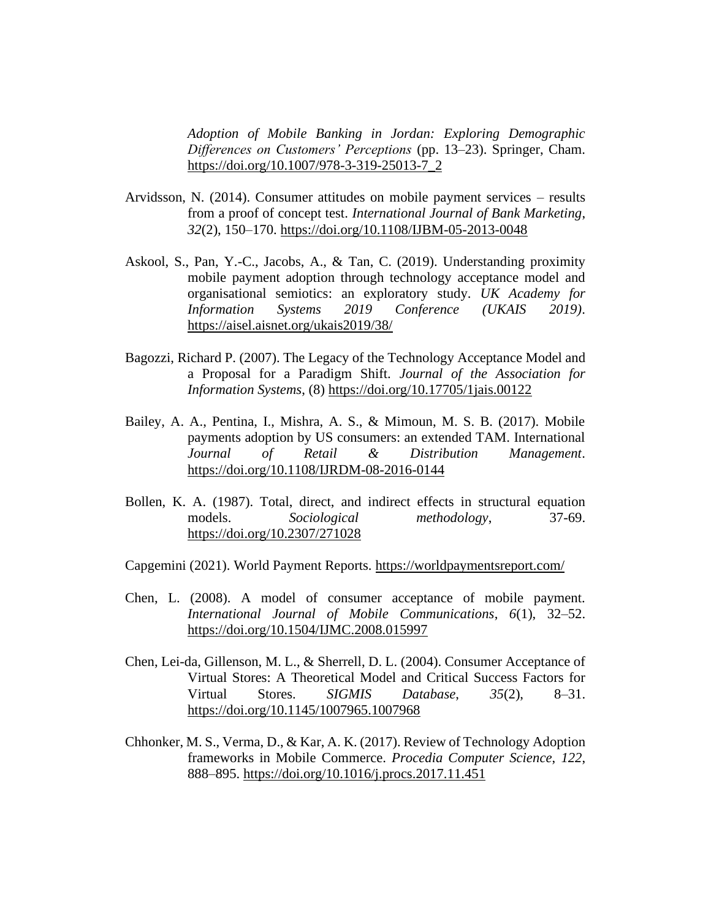*Adoption of Mobile Banking in Jordan: Exploring Demographic Differences on Customers' Perceptions* (pp. 13–23). Springer, Cham. [https://doi.org/10.1007/978-3-319-25013-7\\_2](https://doi.org/10.1007/978-3-319-25013-7_2)

- Arvidsson, N. (2014). Consumer attitudes on mobile payment services results from a proof of concept test. *International Journal of Bank Marketing*, *32*(2), 150–170.<https://doi.org/10.1108/IJBM-05-2013-0048>
- Askool, S., Pan, Y.-C., Jacobs, A., & Tan, C. (2019). Understanding proximity mobile payment adoption through technology acceptance model and organisational semiotics: an exploratory study. *UK Academy for Information Systems 2019 Conference (UKAIS 2019)*. <https://aisel.aisnet.org/ukais2019/38/>
- Bagozzi, Richard P. (2007). The Legacy of the Technology Acceptance Model and a Proposal for a Paradigm Shift. *Journal of the Association for Information Systems*, (8)<https://doi.org/10.17705/1jais.00122>
- Bailey, A. A., Pentina, I., Mishra, A. S., & Mimoun, M. S. B. (2017). Mobile payments adoption by US consumers: an extended TAM. International *Journal of Retail & Distribution Management*. <https://doi.org/10.1108/IJRDM-08-2016-0144>
- Bollen, K. A. (1987). Total, direct, and indirect effects in structural equation models. *Sociological methodology*, 37-69. <https://doi.org/10.2307/271028>

Capgemini (2021). World Payment Reports.<https://worldpaymentsreport.com/>

- Chen, L. (2008). A model of consumer acceptance of mobile payment. *International Journal of Mobile Communications*, *6*(1), 32–52. <https://doi.org/10.1504/IJMC.2008.015997>
- Chen, Lei-da, Gillenson, M. L., & Sherrell, D. L. (2004). Consumer Acceptance of Virtual Stores: A Theoretical Model and Critical Success Factors for Virtual Stores. *SIGMIS Database*, *35*(2), 8–31. <https://doi.org/10.1145/1007965.1007968>
- Chhonker, M. S., Verma, D., & Kar, A. K. (2017). Review of Technology Adoption frameworks in Mobile Commerce. *Procedia Computer Science*, *122*, 888–895.<https://doi.org/10.1016/j.procs.2017.11.451>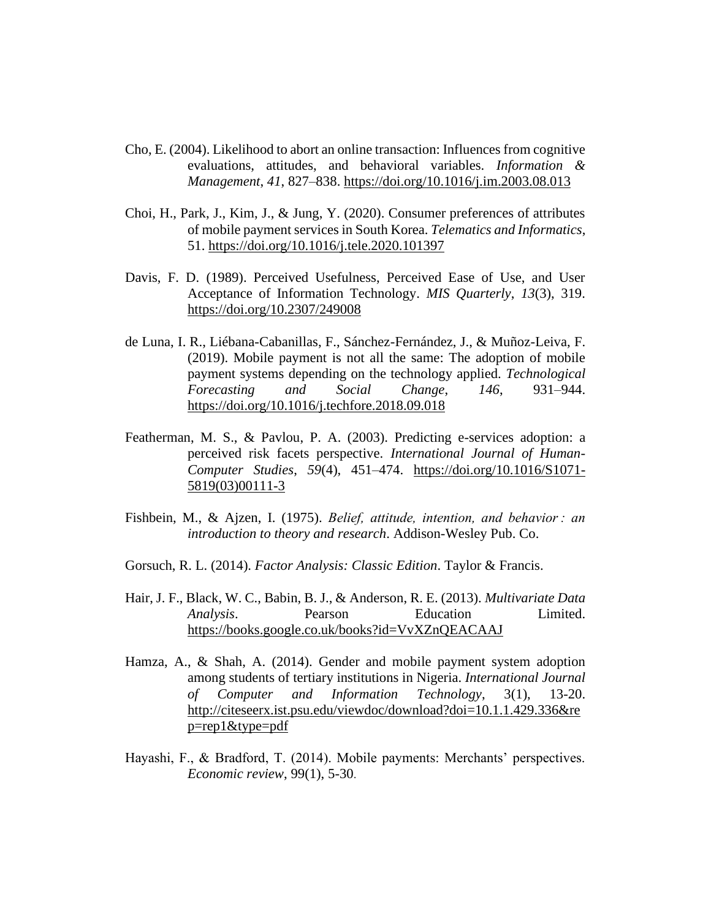- Cho, E. (2004). Likelihood to abort an online transaction: Influences from cognitive evaluations, attitudes, and behavioral variables. *Information & Management*, *41*, 827–838.<https://doi.org/10.1016/j.im.2003.08.013>
- Choi, H., Park, J., Kim, J., & Jung, Y. (2020). Consumer preferences of attributes of mobile payment services in South Korea. *Telematics and Informatics*, 51.<https://doi.org/10.1016/j.tele.2020.101397>
- Davis, F. D. (1989). Perceived Usefulness, Perceived Ease of Use, and User Acceptance of Information Technology. *MIS Quarterly*, *13*(3), 319. <https://doi.org/10.2307/249008>
- de Luna, I. R., Liébana-Cabanillas, F., Sánchez-Fernández, J., & Muñoz-Leiva, F. (2019). Mobile payment is not all the same: The adoption of mobile payment systems depending on the technology applied. *Technological Forecasting and Social Change*, *146*, 931–944. <https://doi.org/10.1016/j.techfore.2018.09.018>
- Featherman, M. S., & Pavlou, P. A. (2003). Predicting e-services adoption: a perceived risk facets perspective. *International Journal of Human-Computer Studies*, *59*(4), 451–474. [https://doi.org/10.1016/S1071-](https://doi.org/10.1016/S1071-5819(03)00111-3) [5819\(03\)00111-3](https://doi.org/10.1016/S1071-5819(03)00111-3)
- Fishbein, M., & Ajzen, I. (1975). *Belief, attitude, intention, and behavior : an introduction to theory and research*. Addison-Wesley Pub. Co.
- Gorsuch, R. L. (2014). *Factor Analysis: Classic Edition*. Taylor & Francis.
- Hair, J. F., Black, W. C., Babin, B. J., & Anderson, R. E. (2013). *Multivariate Data Analysis*. Pearson Education Limited. <https://books.google.co.uk/books?id=VvXZnQEACAAJ>
- Hamza, A., & Shah, A. (2014). Gender and mobile payment system adoption among students of tertiary institutions in Nigeria. *International Journal of Computer and Information Technology*, 3(1), 13-20. [http://citeseerx.ist.psu.edu/viewdoc/download?doi=10.1.1.429.336&re](http://citeseerx.ist.psu.edu/viewdoc/download?doi=10.1.1.429.336&rep=rep1&type=pdf) [p=rep1&type=pdf](http://citeseerx.ist.psu.edu/viewdoc/download?doi=10.1.1.429.336&rep=rep1&type=pdf)
- Hayashi, F., & Bradford, T. (2014). Mobile payments: Merchants' perspectives. *Economic review*, 99(1), 5-30.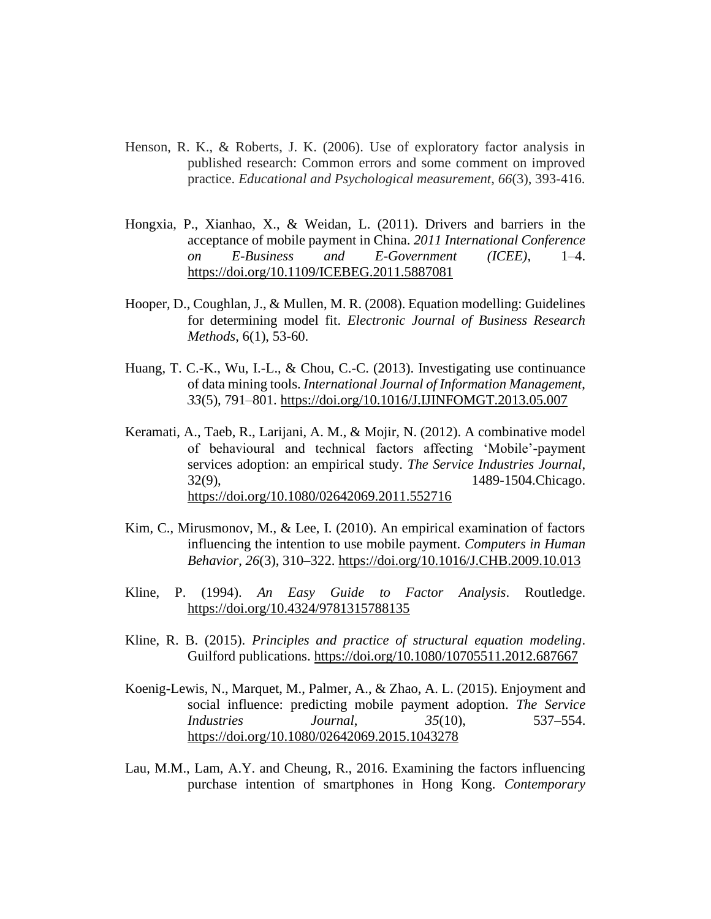- Henson, R. K., & Roberts, J. K. (2006). Use of exploratory factor analysis in published research: Common errors and some comment on improved practice. *Educational and Psychological measurement*, *66*(3), 393-416.
- Hongxia, P., Xianhao, X., & Weidan, L. (2011). Drivers and barriers in the acceptance of mobile payment in China. *2011 International Conference on E-Business and E-Government (ICEE)*, 1–4. <https://doi.org/10.1109/ICEBEG.2011.5887081>
- Hooper, D., Coughlan, J., & Mullen, M. R. (2008). Equation modelling: Guidelines for determining model fit. *Electronic Journal of Business Research Methods*, 6(1), 53-60.
- Huang, T. C.-K., Wu, I.-L., & Chou, C.-C. (2013). Investigating use continuance of data mining tools. *International Journal of Information Management*, *33*(5), 791–801.<https://doi.org/10.1016/J.IJINFOMGT.2013.05.007>
- Keramati, A., Taeb, R., Larijani, A. M., & Mojir, N. (2012). A combinative model of behavioural and technical factors affecting 'Mobile'-payment services adoption: an empirical study. *The Service Industries Journal*, 32(9), 1489-1504.Chicago. <https://doi.org/10.1080/02642069.2011.552716>
- Kim, C., Mirusmonov, M., & Lee, I. (2010). An empirical examination of factors influencing the intention to use mobile payment. *Computers in Human Behavior*, *26*(3), 310–322.<https://doi.org/10.1016/J.CHB.2009.10.013>
- Kline, P. (1994). *An Easy Guide to Factor Analysis*. Routledge. <https://doi.org/10.4324/9781315788135>
- Kline, R. B. (2015). *Principles and practice of structural equation modeling*. Guilford publications.<https://doi.org/10.1080/10705511.2012.687667>
- Koenig-Lewis, N., Marquet, M., Palmer, A., & Zhao, A. L. (2015). Enjoyment and social influence: predicting mobile payment adoption. *The Service Industries Journal*, *35*(10), 537–554. <https://doi.org/10.1080/02642069.2015.1043278>
- Lau, M.M., Lam, A.Y. and Cheung, R., 2016. Examining the factors influencing purchase intention of smartphones in Hong Kong. *Contemporary*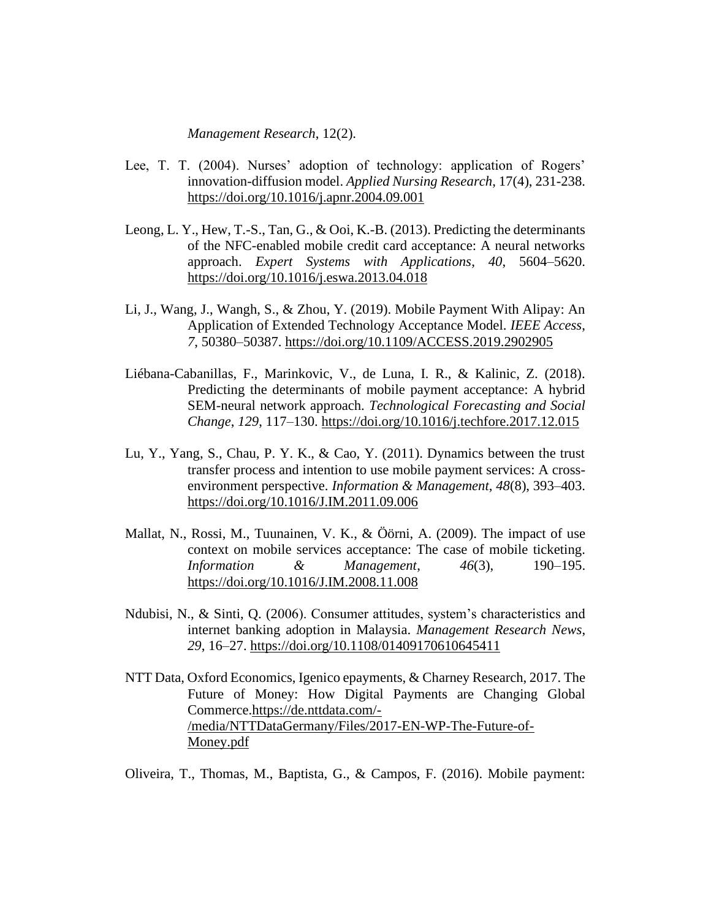*Management Research*, 12(2).

- Lee, T. T. (2004). Nurses' adoption of technology: application of Rogers' innovation-diffusion model. *Applied Nursing Research*, 17(4), 231-238. <https://doi.org/10.1016/j.apnr.2004.09.001>
- Leong, L. Y., Hew, T.-S., Tan, G., & Ooi, K.-B. (2013). Predicting the determinants of the NFC-enabled mobile credit card acceptance: A neural networks approach. *Expert Systems with Applications*, *40*, 5604–5620. <https://doi.org/10.1016/j.eswa.2013.04.018>
- Li, J., Wang, J., Wangh, S., & Zhou, Y. (2019). Mobile Payment With Alipay: An Application of Extended Technology Acceptance Model. *IEEE Access*, *7*, 50380–50387.<https://doi.org/10.1109/ACCESS.2019.2902905>
- Liébana-Cabanillas, F., Marinkovic, V., de Luna, I. R., & Kalinic, Z. (2018). Predicting the determinants of mobile payment acceptance: A hybrid SEM-neural network approach. *Technological Forecasting and Social Change*, *129*, 117–130.<https://doi.org/10.1016/j.techfore.2017.12.015>
- Lu, Y., Yang, S., Chau, P. Y. K., & Cao, Y. (2011). Dynamics between the trust transfer process and intention to use mobile payment services: A crossenvironment perspective. *Information & Management*, *48*(8), 393–403. <https://doi.org/10.1016/J.IM.2011.09.006>
- Mallat, N., Rossi, M., Tuunainen, V. K., & Öörni, A. (2009). The impact of use context on mobile services acceptance: The case of mobile ticketing. *Information & Management*, *46*(3), 190–195. <https://doi.org/10.1016/J.IM.2008.11.008>
- Ndubisi, N., & Sinti, Q. (2006). Consumer attitudes, system's characteristics and internet banking adoption in Malaysia. *Management Research News*, *29*, 16–27.<https://doi.org/10.1108/01409170610645411>
- NTT Data, Oxford Economics, Igenico epayments, & Charney Research, 2017. The Future of Money: How Digital Payments are Changing Global Commerce[.https://de.nttdata.com/-](https://de.nttdata.com/-/media/NTTDataGermany/Files/2017-EN-WP-The-Future-of-Money.pdf) [/media/NTTDataGermany/Files/2017-EN-WP-The-Future-of-](https://de.nttdata.com/-/media/NTTDataGermany/Files/2017-EN-WP-The-Future-of-Money.pdf)[Money.pdf](https://de.nttdata.com/-/media/NTTDataGermany/Files/2017-EN-WP-The-Future-of-Money.pdf)

Oliveira, T., Thomas, M., Baptista, G., & Campos, F. (2016). Mobile payment: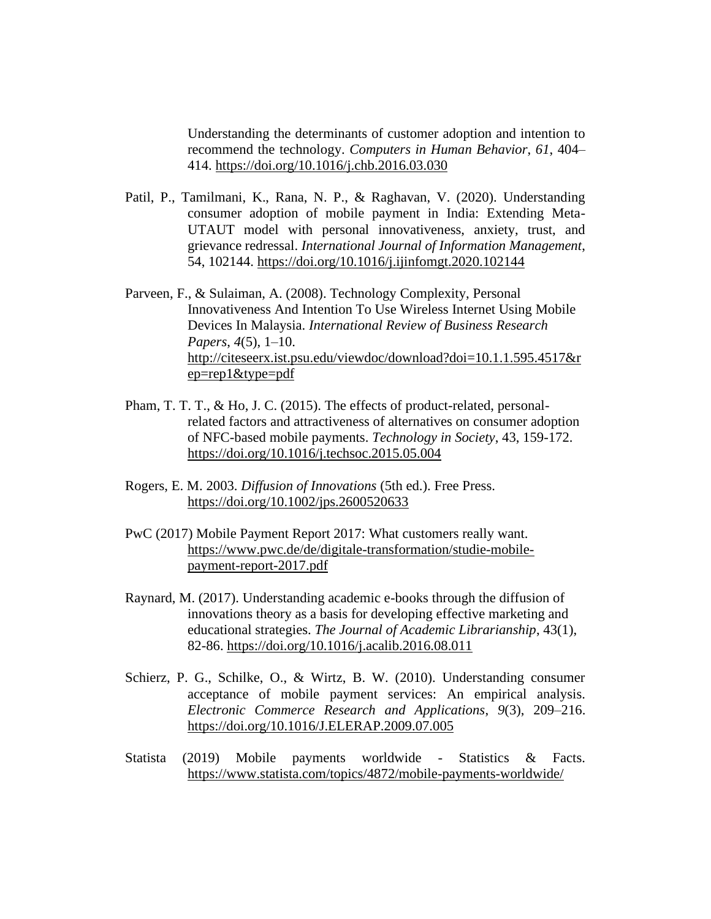Understanding the determinants of customer adoption and intention to recommend the technology. *Computers in Human Behavior*, *61*, 404– 414.<https://doi.org/10.1016/j.chb.2016.03.030>

- Patil, P., Tamilmani, K., Rana, N. P., & Raghavan, V. (2020). Understanding consumer adoption of mobile payment in India: Extending Meta-UTAUT model with personal innovativeness, anxiety, trust, and grievance redressal. *International Journal of Information Management*, 54, 102144.<https://doi.org/10.1016/j.ijinfomgt.2020.102144>
- Parveen, F., & Sulaiman, A. (2008). Technology Complexity, Personal Innovativeness And Intention To Use Wireless Internet Using Mobile Devices In Malaysia. *International Review of Business Research Papers*, *4*(5), 1–10. [http://citeseerx.ist.psu.edu/viewdoc/download?doi=10.1.1.595.4517&r](http://citeseerx.ist.psu.edu/viewdoc/download?doi=10.1.1.595.4517&rep=rep1&type=pdf) [ep=rep1&type=pdf](http://citeseerx.ist.psu.edu/viewdoc/download?doi=10.1.1.595.4517&rep=rep1&type=pdf)
- Pham, T. T. T., & Ho, J. C. (2015). The effects of product-related, personalrelated factors and attractiveness of alternatives on consumer adoption of NFC-based mobile payments. *Technology in Society*, 43, 159-172. <https://doi.org/10.1016/j.techsoc.2015.05.004>
- Rogers, E. M. 2003. *Diffusion of Innovations* (5th ed.). Free Press. <https://doi.org/10.1002/jps.2600520633>
- PwC (2017) Mobile Payment Report 2017: What customers really want. [https://www.pwc.de/de/digitale-transformation/studie-mobile](https://www.pwc.de/de/digitale-transformation/studie-mobile-payment-report-2017.pdf)[payment-report-2017.pdf](https://www.pwc.de/de/digitale-transformation/studie-mobile-payment-report-2017.pdf)
- Raynard, M. (2017). Understanding academic e-books through the diffusion of innovations theory as a basis for developing effective marketing and educational strategies. *The Journal of Academic Librarianship*, 43(1), 82-86.<https://doi.org/10.1016/j.acalib.2016.08.011>
- Schierz, P. G., Schilke, O., & Wirtz, B. W. (2010). Understanding consumer acceptance of mobile payment services: An empirical analysis. *Electronic Commerce Research and Applications*, *9*(3), 209–216. <https://doi.org/10.1016/J.ELERAP.2009.07.005>
- Statista (2019) Mobile payments worldwide Statistics & Facts. <https://www.statista.com/topics/4872/mobile-payments-worldwide/>